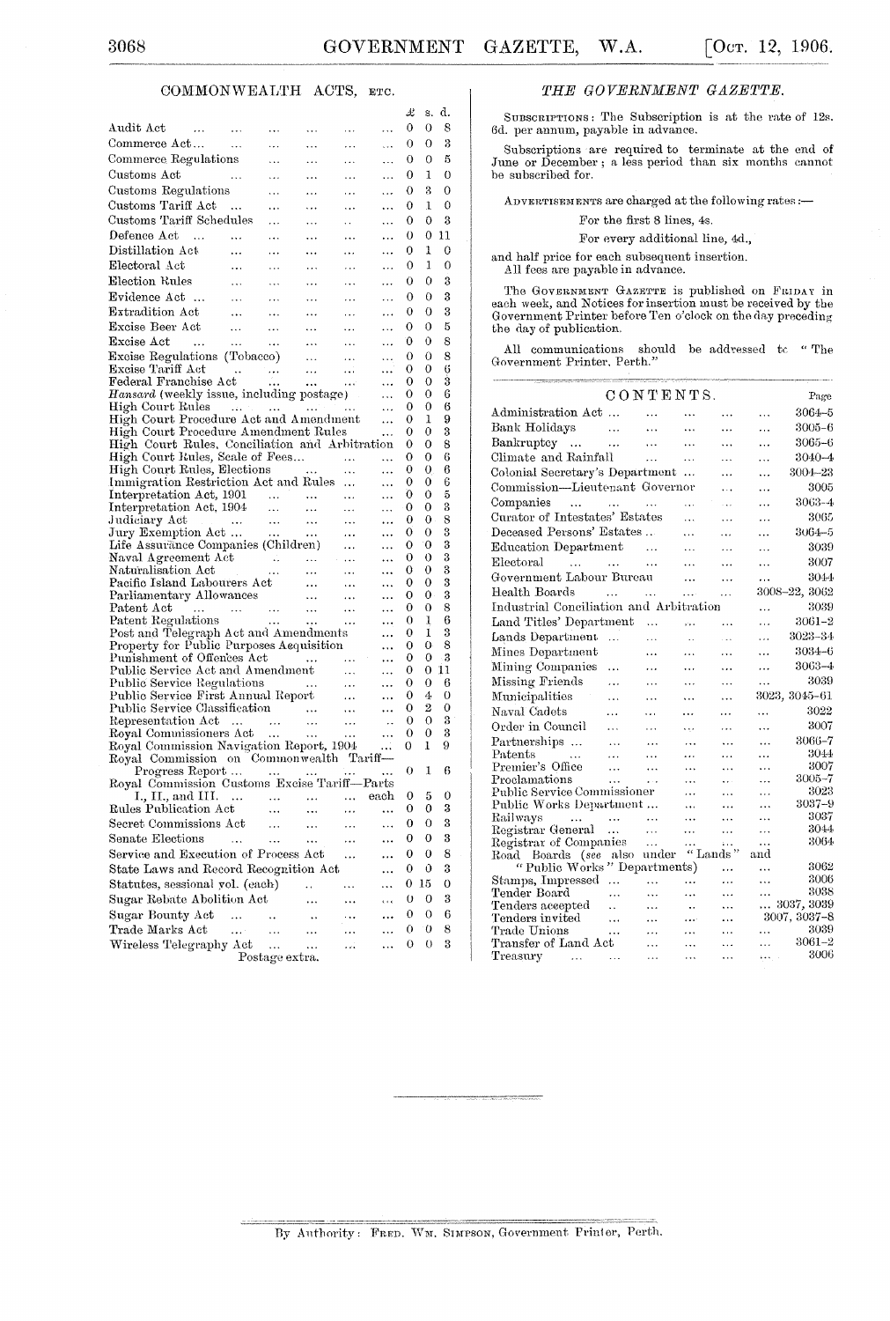### COMMONWEALTH ACTS, ETC.

|                                                                                                         |                              |                |                                                           |                                  |                        | Ŀ      | s.      | d.     |
|---------------------------------------------------------------------------------------------------------|------------------------------|----------------|-----------------------------------------------------------|----------------------------------|------------------------|--------|---------|--------|
| Audit Act<br>$\sim 100$ km $^{-1}$                                                                      | $\ldots$                     |                |                                                           |                                  | .                      | 0      | 0       | 8      |
| Commerce Act                                                                                            | $\sim 100$ km s $^{-1}$      | .              |                                                           | .                                | .                      | 0      | 0       | 3      |
| Commerce Regulations                                                                                    |                              | $\ddotsc$      | $\cdots$                                                  | $\cdots$                         | .                      | 0      | 0       | 5      |
| Customs Act<br>للمرادي                                                                                  |                              | $\ddotsc$      | $\ddotsc$                                                 |                                  | $\cdots$               | 0      | 1       | 0      |
| Customs Regulations                                                                                     |                              | .              | .                                                         | $\cdots$                         | .                      | 0      | 3       | 0      |
| Customs Tariff Act                                                                                      | $\sim$                       | $\ddotsc$      | $\ddotsc$                                                 | $\ldots$                         | .                      | 0      | 1       | 0      |
| Customs Tariff Schedules                                                                                |                              | $\ddotsc$      | $\cdots$                                                  | $\ddotsc$                        | .                      | 0      | 0       | 3      |
| Defence Act<br>$\sim$ 100 $\pm$                                                                         |                              | .              | $\cdots$                                                  |                                  | $\ddot{\phantom{1}}$   | 0      | 0       | 11     |
| Distillation Act                                                                                        | .                            | .              | .                                                         | $\cdots$                         | .                      | 0      | 1       | 0      |
| Electoral Act                                                                                           |                              | $\cdots$       | $\ddotsc$                                                 | v v v                            | $\ddotsc$              | 0      | 1       | 0      |
| Election Rules                                                                                          | $\ddotsc$                    | $\ddotsc$      | $\ldots$                                                  | $\cdots$                         | .                      | 0      | 0       | 3      |
| Evidence Act                                                                                            |                              | $\ldots$       | $\cdots$                                                  | $\ldots$                         |                        | 0      | 0       | 3      |
| Extradition Act                                                                                         | $\sim$ $\cdots$<br>$\ddotsc$ | $\ddotsc$      | $\ldots$                                                  | $\cdots$                         | $\ldots$               | 0      | 0       | 3      |
| Excise Beer Act                                                                                         | $\sim$ 111                   | $\ldots$       | $\ldots$                                                  | $\cdots$                         | $\cdots$               | 0      | 0       | 5      |
| Excise Act<br>$\sim 100$                                                                                | $\sim 1.2\,$ $\sim$          | $\ldots$       |                                                           |                                  |                        | 0      | 0       | 8      |
| Excise Regulations (Tobacco)                                                                            |                              |                | $\ldots$<br>$\sim$ 100 $^{\circ}$                         | $\sim 100$<br>$\sim 100$         |                        | 0      | 0       | 8      |
|                                                                                                         |                              |                |                                                           |                                  | $\ldots$<br>           | 0      | 0       | 6      |
| Excise Tariff Act<br>Federal Franchise Act                                                              |                              |                |                                                           |                                  |                        | 0      | 0       | 3      |
| Hansard (weekly issue, including postage)                                                               |                              |                |                                                           |                                  | $\ldots$               | 0      | 0       | 6      |
| High Court Rules                                                                                        |                              |                |                                                           |                                  | $\ddotsc$              | 0      | 0       | 6      |
| High Court Procedure Act and Amendment                                                                  |                              |                |                                                           |                                  | .                      | 0      | 1       | 9<br>3 |
| High Court Procedure Amendment Rules<br>High Court Rules, Conciliation and Arbitration                  |                              |                |                                                           |                                  |                        | 0<br>0 | 0<br>0  | 8      |
| High Court Rules, Scale of Fees                                                                         |                              |                |                                                           | $\sim$                           |                        | 0      | 0       | 6      |
| High Court Rules, Elections                                                                             |                              |                | es<br>                                                    |                                  |                        | 0      | 0       | 6      |
| Immigration Restriction Act and Rules                                                                   |                              |                |                                                           |                                  | .                      | 0      | 0       | 6      |
| Interpretation Act, 1901<br>Interpretation Act, 1904                                                    |                              |                |                                                           | $\ldots$                         | .                      | 0      | 0       | 5      |
|                                                                                                         |                              |                |                                                           | $\sim$ $\sim$ $\sim$             | .                      | 0      | 0       | 3      |
| Judiciary Act<br>Jury Exemption Act                                                                     |                              |                |                                                           | $\ldots$                         | $\ddotsc$              | 0<br>0 | 0<br>0  | 8<br>3 |
| Life Assurance Companies (Children)                                                                     |                              |                |                                                           | $\ldots$<br>$\sim$ $\sim$ $\sim$ | $\ddotsc$<br>$\ddotsc$ | 0      | 0       | 3      |
|                                                                                                         |                              |                |                                                           |                                  | $\cdots$               | 0      | 0       | 3      |
| Naval Agreement Act (1999)<br>Maturalisation Act (1999)<br>Pacific Island Labourers Act (1999)<br>1999) |                              |                |                                                           |                                  |                        | 0      | 0       | 3      |
|                                                                                                         |                              |                |                                                           |                                  | $\cdots$               | 0      | 0       | 3      |
|                                                                                                         |                              |                |                                                           |                                  | $\ddotsc$              | 0      | 0.<br>0 | 3<br>8 |
|                                                                                                         |                              |                |                                                           |                                  | <br>                   | 0<br>0 | 1       | 6      |
| Post and Telegraph Act and Amendments                                                                   |                              |                |                                                           |                                  | $\ddotsc$              | 0      | 1       | 3      |
| Property for Public Purposes Acquisition                                                                |                              |                |                                                           |                                  |                        | 0      | 0       | 8      |
| Punishment of Offences Act                                                                              |                              |                | المتحدث المحدثين                                          |                                  |                        | 0      | 0       | - 3    |
| Public Service Act and Amendment                                                                        |                              |                |                                                           | $\sim 10^{-11}$                  |                        | 0      | 0       | 11     |
| Public Service Regulations<br>Public Service First Annual Report                                        |                              |                | $\mathcal{L}^{\text{max}}$ and $\mathcal{L}^{\text{max}}$ | $\sim 100$                       |                        | 0<br>0 | 0<br>4  | 6<br>0 |
|                                                                                                         |                              |                |                                                           | $\sim$ $\sim$                    | <br>                   | 0      | 2       | 0      |
| Public Service Classification<br>Representation Act      Royal Commissioners Act                        |                              |                |                                                           |                                  | $\cdot$ .              | 0      | 0       | 3      |
|                                                                                                         |                              |                |                                                           |                                  | $\cdots$               | 0      | 0       | 3      |
| Royal Commission Navigation Report, 1904                                                                |                              |                |                                                           |                                  |                        | 0      | 1       | 9      |
| Royal Commission on Commonwealth Tariff-                                                                |                              |                |                                                           |                                  |                        |        |         |        |
| Progress Report<br>Royal Commission Customs Excise Tariff-Parts                                         |                              |                |                                                           | .                                |                        | 0      | 1       | 6      |
| I., II., and III.     each                                                                              |                              |                |                                                           |                                  |                        | 0      | 5       | 0      |
| Rules Publication Act                                                                                   |                              |                |                                                           |                                  |                        | 0      | 0       | 3      |
| Secret Commissions Act                                                                                  |                              |                |                                                           |                                  |                        | 0      | 0       | 3      |
| Senate Elections                                                                                        |                              |                |                                                           |                                  |                        | 0      | 0       | 3      |
| Service and Execution of Process Act                                                                    |                              |                |                                                           |                                  |                        | 0      | 0       | 8      |
| State Laws and Record Recognition Act                                                                   |                              |                |                                                           |                                  |                        | 0      | Û       | 3      |
| Statutes, sessional yol. (each)                                                                         |                              |                |                                                           |                                  |                        | 0      | 15      | 0      |
| Sugar Rebate Abolition Act                                                                              |                              |                |                                                           |                                  |                        | 0      | 0       | 3      |
| Sugar Bounty Act                                                                                        | .                            | ٠.             |                                                           |                                  |                        | 0      | 0       | 6      |
| Trade Marks Act                                                                                         | $\mathbf{r}$                 | .              |                                                           |                                  |                        | 0      | 0       | 8      |
| Wireless Telegraphy Act                                                                                 |                              | .              | .                                                         |                                  |                        | 0      | 0       | 3      |
|                                                                                                         |                              | Postage extra. |                                                           |                                  |                        |        |         |        |

### THE GOVERNMENT GAZETTE.

SUBSCRIPTIONS: The Subscription is at the rate of  $12s$ .<br>6d. per annum, payable in advance.

Subscriptions are required to terminate at the end of June or December; a less period than six months cannot be subscribed for.

ADVERTISEMENTS are charged at the following rates :-

For the first 8 lines, 4s.

#### For every additional line, 4d.,

and half price for each subsequent insertion.<br>All fees are payable in advance.  $\,$ 

The GOVERNMENT GAZETTE is published on FRIDAY in each week, and Notices for insertion must be received by the Government Printer before Ten o'clock on the day preceding the day of publication.

All communications should be addressed to "The Government Printer, Perth."

|                                                      |           | CONTENTS.         |                      |           |           | Page          |
|------------------------------------------------------|-----------|-------------------|----------------------|-----------|-----------|---------------|
| Administration Act                                   |           | $\ddotsc$         | $\ddotsc$            | $\cdots$  | .         | 3064-5        |
| Bank Holidays                                        | $\sim$    | $\ddotsc$         | $\ddotsc$            | .         | .         | $3005 - 6$    |
| Bankruptcy                                           | $\sim$    | $\ddotsc$         | $\ddotsc$            | $\ddotsc$ | .         | 3065-6        |
| Climate and Rainfall                                 |           | $\cdots$          | $\ddotsc$            | $\ddotsc$ | $\ddotsc$ | $3040 - 4$    |
| Colonial Secretary's Department                      |           |                   |                      | $\cdots$  | $\cdots$  | 3004–23       |
| Commission—Lieutenant Governor                       |           |                   |                      | .         | .         | 3005          |
| Companies<br>$\sim 10^{11}$ km s $^{-1}$<br>$\cdots$ |           | $\sim$ 100 $\sim$ | $\ddotsc$            | .         |           | 3063-4        |
| Curator of Intestates' Estates                       |           |                   | $\ddotsc$            |           |           | 3065          |
| Deceased Persons' Estates                            |           |                   |                      | .         | $\ldots$  | 3064–5        |
|                                                      |           |                   | .                    | .         | $\cdots$  |               |
| Education Department                                 |           | $\ddots$          | .                    | .         | .         | 3039          |
| Electoral<br>$\sim 100$ km $^{-1}$ and $\sim 100$    |           | $\ddotsc$         | .                    | .         | .         | 3007          |
| Government Labour Bureau                             |           |                   | .                    | $\cdots$  | .         | 3044          |
| Health Boards<br>$\sim$ $\sim$ $\sim$                |           | $\ldots$          | $\mathbf{r}$         | .         |           | 3008-22, 3062 |
| Industrial Conciliation and Arbitration              |           |                   |                      |           | $\ddotsc$ | 3039          |
| Land Titles' Department                              |           | $\cdots$          | š.                   | .         | .         | $3061 - 2$    |
| Lands Department                                     | $\sim$ .  | $\ddotsc$         | $\ddot{\phantom{a}}$ | $\cdots$  | .         | 3023-34       |
| Mines Department                                     |           | .                 | $\cdots$             | $\cdots$  | .         | $3034 - 6$    |
| Mining Companies                                     | $\ddotsc$ | $\cdots$          | $\ddotsc$            | .         | $\cdots$  | 3063-4        |
| Missing Friends                                      | $\ddotsc$ | $\cdots$          | $\cdots$             | $\ddotsc$ | $\ddotsc$ | 3039          |
| Municipalities                                       | .         | $\cdots$          | $\ddotsc$            | $\cdots$  |           | 3023, 3045-61 |
| Naval Cadets                                         | $\ddotsc$ | $\ddotsc$         | $\cdots$             | .         | $\cdots$  | 3022          |
| Order in Council                                     | $\cdots$  | $\ldots$          | ببدء                 | $\ddotsc$ | $\cdots$  | 3007          |
| Partnerships                                         | $\ddotsc$ | $\cdots$          | $\cdots$             | .         | $\ddotsc$ | 3066-7        |
| $\rm {Patents}$<br>$\sim$ $\sim$ $\sim$              | $\ddotsc$ | .                 | .                    | .         | .         | 3044          |
| Premier's Office                                     | $\ddotsc$ | $\dddotsc$        | $\cdots$             | .         | $\cdots$  | 3007          |
| Proclamations                                        | $\cdots$  | $\ddotsc$         | $\cdots$             | $\ddotsc$ | $\cdots$  | $3005 - 7$    |
| Public Service Commissioner                          |           |                   | $\ldots$             | .         | .         | 3023          |
| Public Works Department                              |           |                   | $\ddot{\phantom{a}}$ | .         | .         | $3037 - 9$    |
| Railways $\dots \dots$                               |           | $\cdots$          | .                    | $\cdots$  | .         | 3037          |
| Registrar General                                    |           | $\ddotsc$         | .                    | .         | .         | 3044          |
| Registrar of Companies                               |           | $\ddotsc$         | .                    | $\ddotsc$ | .         | 3064          |
| Road Boards (see also under "Lands"                  |           |                   |                      |           | and       |               |
| "Public Works" Departments)                          |           |                   |                      | .         | .         | 3062          |
| Stamps, Impressed                                    |           | $\ldots$          | $\cdots$             | .         | .         | 3006          |
| Tender Board                                         | .         | $\ddotsc$         | $\cdots$             | .         | $\ldots$  | 3038          |
| Tenders accepted                                     | $\ddotsc$ | $\ddotsc$         | $\ddotsc$            | $\cdots$  | $\cdots$  | 3037, 3039    |
| Tenders invited                                      | $\sim$ .  | $\ddotsc$         | $\cdots$             | .         |           | 3007, 3037-8  |
| Trade Unions                                         | $\ddotsc$ | $\cdots$          |                      | $\cdots$  | .         | 3039          |
| Transfer of Land Act                                 |           | $\cdots$          |                      | .         | .         | $3061 - 2$    |
| Treasurv<br>$\ldots$                                 | $\ldots$  | .                 | $\cdots$             | $\cdots$  | $\ddotsc$ | 3006          |